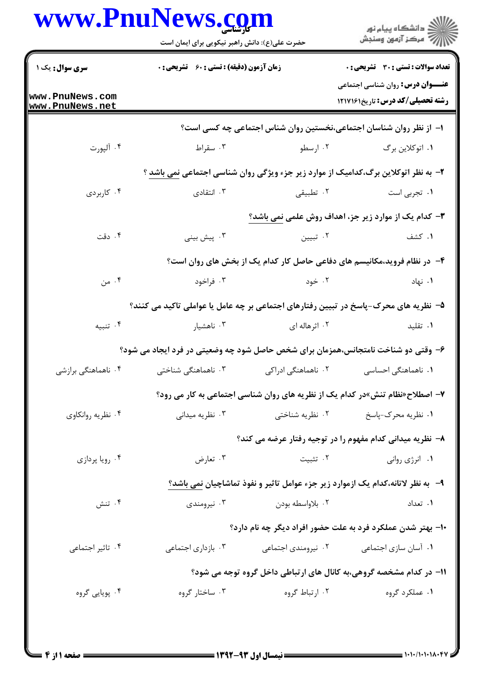|                                    | حضرت علی(ع): دانش راهبر نیکویی برای ایمان است                                        |                     | ر دانشڪاه پيام نور<br>ا∛ مرڪز آزمون وسنڊش                                              |  |
|------------------------------------|--------------------------------------------------------------------------------------|---------------------|----------------------------------------------------------------------------------------|--|
| <b>سری سوال :</b> یک ۱             | <b>زمان آزمون (دقیقه) : تستی : 60 ٪ تشریحی : 0</b>                                   |                     | <b>تعداد سوالات : تستی : 30 ٪ تشریحی : 0</b>                                           |  |
| www.PnuNews.com<br>www.PnuNews.net |                                                                                      |                     | <b>عنـــوان درس:</b> روان شناسی اجتماعی<br><b>رشته تحصیلی/کد درس:</b> تاریخ1217161     |  |
|                                    |                                                                                      |                     | ا– از نظر روان شناسان اجتماعی،نخستین روان شناس اجتماعی چه کسی است؟                     |  |
| ۰۴ آلپورت                          | ۰۳ سقراط                                                                             | ۰۲ ارسطو            | ۰۱ اتوکلاين برگ                                                                        |  |
|                                    | ۲- به نظر اتوکلاین برگ،کدامیک از موارد زیر جزء ویژگی روان شناسی اجتماعی نمی باشد ؟   |                     |                                                                                        |  |
| ۰۴ کاربردی                         | ۰۳ انتقادی                                                                           | ۰۲ تطبیقی           | ۰۱ تجربی است                                                                           |  |
|                                    |                                                                                      |                     | ۳- کدام یک از موارد زیر جز، اهداف روش علمی نمی باشد؟                                   |  |
| ۰۴ دقت                             | ۰۳ پیش بینی                                                                          | ۰۲ تبیین            | ۰۱ کشف                                                                                 |  |
|                                    |                                                                                      |                     | ۴- در نظام فروید،مکانیسم های دفاعی حاصل کار کدام یک از بخش های روان است؟               |  |
| ۰۴ من                              | ۰۳ فراخود                                                                            | ۰۲ خود              | ۰۱ نهاد                                                                                |  |
|                                    | ۵– نظریه های محرک-پاسخ در تبیین رفتارهای اجتماعی بر چه عامل یا عواملی تاکید می کنند؟ |                     |                                                                                        |  |
| ۰۴ تنبیه                           | ۰۳ ناهشیار                                                                           | ۰۲ اثرهاله ای       | ۰۱ تقلید                                                                               |  |
|                                    | ۶- وقتی دو شناخت نامتجانس،همزمان برای شخص حاصل شود چه وضعیتی در فرد ایجاد می شود؟    |                     |                                                                                        |  |
| ۰۴ ناهماهنگی برازشی                | ۰۳ ناهماهنگی شناختی                                                                  | ۰۲ ناهماهنگی ادراکی | <b>۱.</b> ناهماهنگی احساسی                                                             |  |
|                                    | ۷- اصطلاح«نظام تنش»در کدام یک از نظریه های روان شناسی اجتماعی به کار می رود؟         |                     |                                                                                        |  |
| ۰۴ نظریه روانکاوی                  | ۰۳ نظریه میدانی                                                                      | ۰۲ نظریه شناختی     | ۰۱ نظریه محرک-پاسخ                                                                     |  |
|                                    |                                                                                      |                     | ۸– نظریه میدانی کدام مفهوم را در توجیه رفتار عرضه می کند؟                              |  |
| ۰۴ رویا پردازی                     | ۰۳ تعارض                                                                             | ۰۲ تثبیت            | ٠١. انرژى روانى                                                                        |  |
|                                    |                                                                                      |                     | ۹- به نظر لاتانه،کدام یک ازموارد زیر جزء عوامل تاثیر و نفوذ تماشاچیان <u>نمی</u> باشد؟ |  |
| ۰۴ تنش                             | ۰۳ نیرومندی                                                                          | ۰۲ بلاواسطه بودن    | ۰۱ تعداد                                                                               |  |
|                                    |                                                                                      |                     | ۱۰– بهتر شدن عملکرد فرد به علت حضور افراد دیگر چه نام دارد؟                            |  |
| ۰۴ تاثیر اجتماعی                   | ۰۳ بازداری اجتماعی                                                                   | ۰۲ نیرومندی اجتماعی | ۰۱ آسان سازی اجتماعی                                                                   |  |
|                                    |                                                                                      |                     | 1۱– در کدام مشخصه گروهی،به کانال های ارتباطی داخل گروه توجه می شود؟                    |  |
| ۰۴ پویایی گروه                     | ۰۳ ساختار گروه                                                                       | ۰۲ ارتباط گروه      | ۰۱ عملکرد گروه                                                                         |  |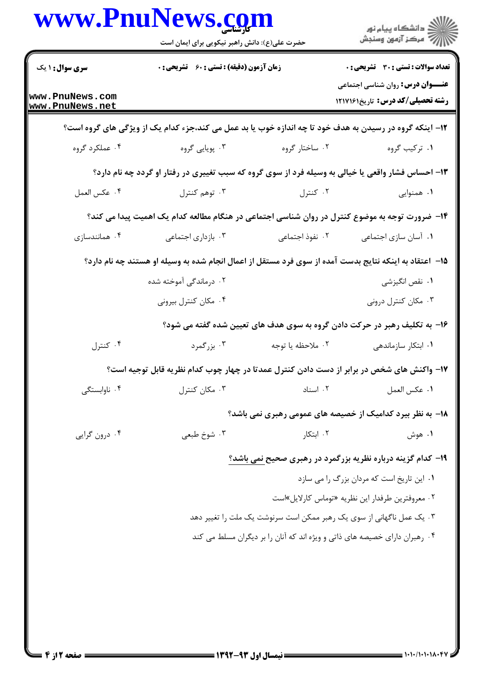|                                    | www.PnuNews.com<br>حضرت علی(ع): دانش راهبر نیکویی برای ایمان است |                                            |                                                                                                         |  |
|------------------------------------|------------------------------------------------------------------|--------------------------------------------|---------------------------------------------------------------------------------------------------------|--|
| <b>سری سوال: ۱ ی</b> ک             |                                                                  |                                            | <b>تعداد سوالات : تستی : 30 ٪ تشریحی : 0</b>                                                            |  |
|                                    |                                                                  | زمان آزمون (دقیقه) : تستی : ۶۰٪ تشریحی : ۰ |                                                                                                         |  |
| www.PnuNews.com<br>www.PnuNews.net |                                                                  |                                            | <b>عنـــوان درس:</b> روان شناسی اجتماعی<br>رشته تحصیلی/کد درس: تاریخ۱۲۱۷۱۶۱                             |  |
|                                    |                                                                  |                                            | ۱۲- اینکه گروه در رسیدن به هدف خود تا چه اندازه خوب یا بد عمل می کند،جزء کدام یک از ویژگی های گروه است؟ |  |
| ۰۴ عملکرد گروه                     | ۰۳ پويايي گروه                                                   | ۰۲ ساختار گروه                             | ۰۱ ترکیب گروه                                                                                           |  |
|                                    |                                                                  |                                            | ۱۳- احساس فشار واقعی یا خیالی به وسیله فرد از سوی گروه که سبب تغییری در رفتار او گردد چه نام دارد؟      |  |
| ۰۴ عكس العمل                       | ۰۳ توهم کنترل                                                    | ۰۲ کنترل                                   | ۰۱ همنوایی                                                                                              |  |
|                                    |                                                                  |                                            | ۱۴– ضرورت توجه به موضوع کنترل در روان شناسی اجتماعی در هنگام مطالعه کدام یک اهمیت پیدا می کند؟          |  |
| ۰۴ همانندسازی                      | ۰۳ بازداری اجتماعی                                               | ٢. نفوذ اجتماعي                            | ۰۱ آسان سازی اجتماعی                                                                                    |  |
|                                    |                                                                  |                                            | ۱۵– اعتقاد به اینکه نتایج بدست آمده از سوی فرد مستقل از اعمال انجام شده به وسیله او هستند چه نام دارد؟  |  |
|                                    | ۰۲ درماندگی آموخته شده                                           |                                            | ۰۱ نقص انگیزشی                                                                                          |  |
|                                    | ۰۴ مکان کنترل بیرونی                                             |                                            | ۰۳ مکان کنترل درونی                                                                                     |  |
|                                    |                                                                  |                                            | ۱۶- به تکلیف رهبر در حرکت دادن گروه به سوی هدف های تعیین شده گفته می شود؟                               |  |
| ۰۴ کنترل                           | ۰۳ بزرگمرد                                                       | ۰۲ ملاحظه یا توجه                          | ۰۱ ابتکار سازماندهی                                                                                     |  |
|                                    |                                                                  |                                            | ۱۷– واکنش های شخص در برابر از دست دادن کنترل عمدتا در چهار چوب کدام نظریه قابل توجیه است؟               |  |
| ۰۴ ناوابستگی                       | ۰۳ مکان کنترل                                                    | ٠٢ اسناد                                   | ٠١. عكس العمل                                                                                           |  |
|                                    |                                                                  |                                            | 18- به نظر بیرد کدامیک از خصیصه های عمومی رهبری نمی باشد؟                                               |  |
| ۰۴ درون گرایی                      | ۰۳ شوخ طبعی                                                      | ۰۲ ابتکار                                  | ۰۱ هوش                                                                                                  |  |
|                                    |                                                                  |                                            | ۱۹- کدام گزینه درباره نظریه بزرگمرد در رهبری صحیح نمی باشد؟                                             |  |
|                                    |                                                                  |                                            | ٠١ اين تاريخ است كه مردان بزرگ را مي سازد                                                               |  |
|                                    |                                                                  |                                            | ۰۲ معروفترین طرفدار این نظریه «توماس کارلایل»است                                                        |  |
|                                    |                                                                  |                                            | ۰۳ یک عمل ناگهانی از سوی یک رهبر ممکن است سرنوشت یک ملت را تغییر دهد                                    |  |
|                                    |                                                                  |                                            | ۰۴ رهبران دارای خصیصه های ذاتی و ویژه اند که آنان را بر دیگران مسلط می کند                              |  |
|                                    |                                                                  |                                            |                                                                                                         |  |
|                                    |                                                                  |                                            |                                                                                                         |  |
|                                    |                                                                  |                                            |                                                                                                         |  |
|                                    |                                                                  |                                            |                                                                                                         |  |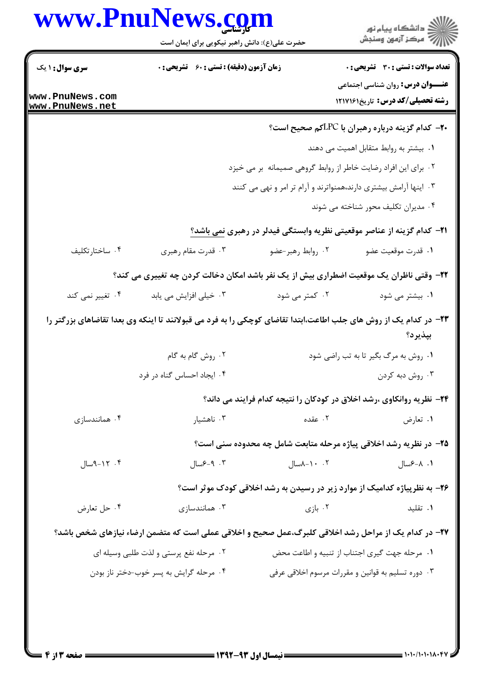|                                    | حضرت علی(ع): دانش راهبر نیکویی برای ایمان است                                           |                   | ڪ دانشڪاه پيام نور<br>//> مرڪز آزمون وسنڊش                                                                                                                                                                                                                                                                                                                                                                                                                                                                    |
|------------------------------------|-----------------------------------------------------------------------------------------|-------------------|---------------------------------------------------------------------------------------------------------------------------------------------------------------------------------------------------------------------------------------------------------------------------------------------------------------------------------------------------------------------------------------------------------------------------------------------------------------------------------------------------------------|
| <b>سری سوال : ۱ یک</b>             | <b>زمان آزمون (دقیقه) : تستی : 60 ٪ تشریحی : 0</b>                                      |                   | <b>تعداد سوالات : تستی : 30 ٪ تشریحی : 0</b>                                                                                                                                                                                                                                                                                                                                                                                                                                                                  |
| www.PnuNews.com<br>www.PnuNews.net |                                                                                         |                   | <b>عنـــوان درس:</b> روان شناسی اجتماعی<br><b>رشته تحصیلی/کد درس:</b> تاریخ۱۲۱۷۱۶۱                                                                                                                                                                                                                                                                                                                                                                                                                            |
|                                    |                                                                                         |                   | <b>۰۲-</b> کدام گزینه درباره رهبران با LPCکم صحیح است؟                                                                                                                                                                                                                                                                                                                                                                                                                                                        |
|                                    |                                                                                         |                   | ٠١ بيشتر به روابط متقابل اهميت مي دهند                                                                                                                                                                                                                                                                                                                                                                                                                                                                        |
|                                    |                                                                                         |                   | ۰۲ برای این افراد رضایت خاطر از روابط گروهی صمیمانه بر می خیزد                                                                                                                                                                                                                                                                                                                                                                                                                                                |
|                                    |                                                                                         |                   | ۰۳ اینها آرامش بیشتری دارند،همنواترند و آرام تر امر و نهی می کنند                                                                                                                                                                                                                                                                                                                                                                                                                                             |
|                                    |                                                                                         |                   | ۰۴ مدیران تکلیف محور شناخته می شوند                                                                                                                                                                                                                                                                                                                                                                                                                                                                           |
|                                    |                                                                                         |                   | <b>۲۱</b> – کدام گزینه از عناصر موقعیتی نظریه وابستگی فیدلر در رهبری نمی باشد؟                                                                                                                                                                                                                                                                                                                                                                                                                                |
| ۰۴ ساختارتکليف                     | ۰۳ قدرت مقام رهبري                                                                      | ۰۲ روابط رهبر-عضو | ٠١ قدرت موقعيت عضو                                                                                                                                                                                                                                                                                                                                                                                                                                                                                            |
|                                    | ۲۲- وقتی ناظران یک موقعیت اضطراری بیش از یک نفر باشد امکان دخالت کردن چه تغییری می کند؟ |                   |                                                                                                                                                                                                                                                                                                                                                                                                                                                                                                               |
| ۰۴ تغییر نمی کند                   | ۰۳ خیلی افزایش می یابد                                                                  | ۰۲ کمتر می شود    | ۰۱ بیشتر می شود                                                                                                                                                                                                                                                                                                                                                                                                                                                                                               |
|                                    |                                                                                         |                   |                                                                                                                                                                                                                                                                                                                                                                                                                                                                                                               |
|                                    |                                                                                         |                   | بپذيرد؟                                                                                                                                                                                                                                                                                                                                                                                                                                                                                                       |
|                                    | ۰۲ روش گام به گام                                                                       |                   | ۰۱ روش به مرگ بگیر تا به تب راضی شود                                                                                                                                                                                                                                                                                                                                                                                                                                                                          |
|                                    | ۰۴ ایجاد احساس گناه در فرد                                                              |                   | ۰۳ روش دبه کردن                                                                                                                                                                                                                                                                                                                                                                                                                                                                                               |
|                                    |                                                                                         |                   |                                                                                                                                                                                                                                                                                                                                                                                                                                                                                                               |
| ۰۴ همانندسازی                      | ۰۳ ناهشیار                                                                              | ۰۲ عقده           | ۰۱ تعارض                                                                                                                                                                                                                                                                                                                                                                                                                                                                                                      |
|                                    |                                                                                         |                   |                                                                                                                                                                                                                                                                                                                                                                                                                                                                                                               |
| ۰۴ - ۱۲-۹سال                       | ۰۳ - ۶–۶سال                                                                             | ۰۰۲ - ۸سال        | ۰۱ ۰۸-۶سال                                                                                                                                                                                                                                                                                                                                                                                                                                                                                                    |
|                                    |                                                                                         |                   |                                                                                                                                                                                                                                                                                                                                                                                                                                                                                                               |
| ۰۴ حل تعارض                        | همانندسازی $\cdot$ ۳                                                                    | ۰۲ بازی           | ۰۱ تقلید                                                                                                                                                                                                                                                                                                                                                                                                                                                                                                      |
|                                    |                                                                                         |                   |                                                                                                                                                                                                                                                                                                                                                                                                                                                                                                               |
|                                    | ۰۲ مرحله نفع پرستی و لذت طلبی وسیله ای                                                  |                   | <b>۲۳</b> – در کدام یک از روش های جلب اطاعت،ابتدا تقاضای کوچکی را به فرد می قبولانند تا اینکه وی بعدا تقاضاهای بزرگتر را<br>۲۴- نظریه روانکاوی ،رشد اخلاق در کودکان را نتیجه کدام فرایند می داند؟<br>۲۵- در نظریه رشد اخلاقی پیاژه مرحله متابعت شامل چه محدوده سنی است؟<br>۲۶- به نظرپیاژه کدامیک از موارد زیر در رسیدن به رشد اخلاقی کودک موثر است؟<br>۲۷- در کدام یک از مراحل رشد اخلاقی کلبرگ،عمل صحیح و اخلاقی عملی است که متضمن ارضاء نیازهای شخص باشد؟<br>۰۱ مرحله جهت گیری اجتناب از تنبیه و اطاعت محض |